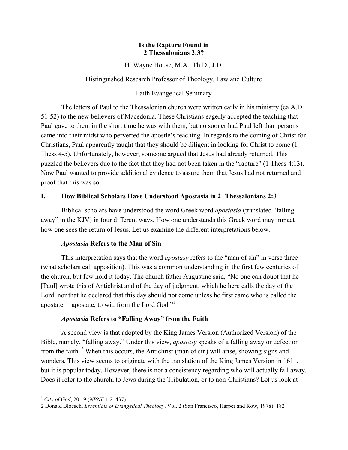### **Is the Rapture Found in 2 Thessalonians 2:3?**

H. Wayne House, M.A., Th.D., J.D.

Distinguished Research Professor of Theology, Law and Culture

# Faith Evangelical Seminary

The letters of Paul to the Thessalonian church were written early in his ministry (ca A.D. 51-52) to the new believers of Macedonia. These Christians eagerly accepted the teaching that Paul gave to them in the short time he was with them, but no sooner had Paul left than persons came into their midst who perverted the apostle's teaching. In regards to the coming of Christ for Christians, Paul apparently taught that they should be diligent in looking for Christ to come (1 Thess 4-5). Unfortunately, however, someone argued that Jesus had already returned. This puzzled the believers due to the fact that they had not been taken in the "rapture" (1 Thess 4:13). Now Paul wanted to provide additional evidence to assure them that Jesus had not returned and proof that this was so.

# **I. How Biblical Scholars Have Understood Apostasia in 2 Thessalonians 2:3**

Biblical scholars have understood the word Greek word *apostasia* (translated "falling away" in the KJV) in four different ways. How one understands this Greek word may impact how one sees the return of Jesus. Let us examine the different interpretations below.

# *Apostasia* **Refers to the Man of Sin**

This interpretation says that the word *apostasy* refers to the "man of sin" in verse three (what scholars call apposition). This was a common understanding in the first few centuries of the church, but few hold it today. The church father Augustine said, "No one can doubt that he [Paul] wrote this of Antichrist and of the day of judgment, which he here calls the day of the Lord, nor that he declared that this day should not come unless he first came who is called the apostate —apostate, to wit, from the Lord God."1

# *Apostasia* **Refers to "Falling Away" from the Faith**

A second view is that adopted by the King James Version (Authorized Version) of the Bible, namely, "falling away." Under this view, *apostasy* speaks of a falling away or defection from the faith. <sup>2</sup> When this occurs, the Antichrist (man of sin) will arise, showing signs and wonders. This view seems to originate with the translation of the King James Version in 1611, but it is popular today. However, there is not a consistency regarding who will actually fall away. Does it refer to the church, to Jews during the Tribulation, or to non-Christians? Let us look at

<sup>!!!!!!!!!!!!!!!!!!!!!!!!!!!!!!!!!!!!!!!!!!!!!!!!!!!!!!!!!!!!</sup> <sup>1</sup> *City of God*, 20.19 (*NPNF* 1.2. 437).

<sup>2</sup> Donald Bloesch, *Essentials of Evangelical Theology*, Vol. 2 (San Francisco, Harper and Row, 1978), 182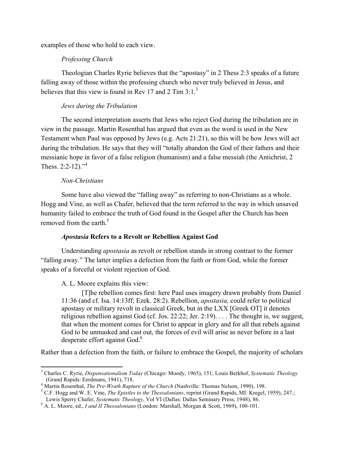examples of those who hold to each view.

### *Professing Church*

Theologian Charles Ryrie believes that the "apostasy" in 2 Thess 2:3 speaks of a future falling away of those within the professing church who never truly believed in Jesus, and believes that this view is found in Rev 17 and 2 Tim  $3:1<sup>3</sup>$ 

### *Jews during the Tribulation*

The second interpretation asserts that Jews who reject God during the tribulation are in view in the passage. Martin Rosenthal has argued that even as the word is used in the New Testament when Paul was opposed by Jews (e.g. Acts 21:21), so this will be how Jews will act during the tribulation. He says that they will "totally abandon the God of their fathers and their messianic hope in favor of a false religion (humanism) and a false messiah (the Antichrist, 2 Thess.  $2:2-12$ ."<sup>4</sup>

### *Non-Christians*

!!!!!!!!!!!!!!!!!!!!!!!!!!!!!!!!!!!!!!!!!!!!!!!!!!!!!!!!!!!!

Some have also viewed the "falling away" as referring to non-Christians as a whole. Hogg and Vine, as well as Chafer, believed that the term referred to the way in which unsaved humanity failed to embrace the truth of God found in the Gospel after the Church has been removed from the earth  $5$ 

#### *Apostasia* **Refers to a Revolt or Rebellion Against God**

Understanding *apostasia* as revolt or rebellion stands in strong contrast to the former "falling away." The latter implies a defection from the faith or from God, while the former speaks of a forceful or violent rejection of God.

# A. L. Moore explains this view:

[T]he rebellion comes first: here Paul uses imagery drawn probably from Daniel 11:36 (and cf. Isa. 14:13ff; Ezek. 28:2). Rebellion, *apostasia,* could refer to political apostasy or military revolt in classical Greek, but in the LXX [Greek OT] it denotes religious rebellion against God (cf. Jos. 22:22; Jer. 2:19). . . . The thought is, we suggest, that when the moment comes for Christ to appear in glory and for all that rebels against God to be unmasked and cast out, the forces of evil will arise as never before in a last desperate effort against God.<sup>6</sup>

Rather than a defection from the faith, or failure to embrace the Gospel, the majority of scholars

<sup>3</sup> Charles C. Ryrie, *Dispensationalism Today* (Chicago: Moody, 1965), 151; Louis Berkhof, *Systematic Theology* (Grand Rapids: Eerdmans, 1941), 718.<br><sup>4</sup> Martin Rosenthal, *The Pre-Wrath Rapture of the Church* (Nashville: Thomas Nelson, 1990), 198.<br><sup>5</sup> C.F. Hogg and W. E. Vine, *The Epistles to the Thessalonians*, reprint (Grand Rapi

Lewis Sperry Chafer, *Systematic Theology*, Vol VI (Dallas: Dallas Seminary Press, 1948), 86. <sup>6</sup> A. L. Moore, ed., *I and II Thessalonians* (London: Marshall, Morgan & Scott, 1969), 100-101.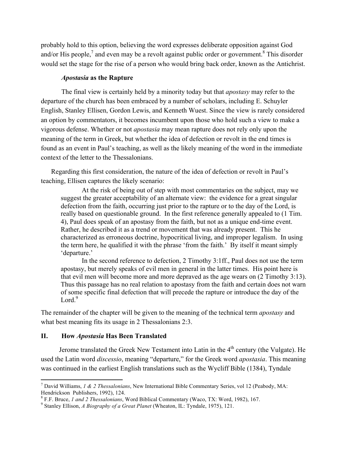probably hold to this option, believing the word expresses deliberate opposition against God and/or His people,<sup>7</sup> and even may be a revolt against public order or government.<sup>8</sup> This disorder would set the stage for the rise of a person who would bring back order, known as the Antichrist.

#### *Apostasia* **as the Rapture**

The final view is certainly held by a minority today but that *apostasy* may refer to the departure of the church has been embraced by a number of scholars, including E. Schuyler English, Stanley Ellisen, Gordon Lewis, and Kenneth Wuest. Since the view is rarely considered an option by commentators, it becomes incumbent upon those who hold such a view to make a vigorous defense. Whether or not *apostasia* may mean rapture does not rely only upon the meaning of the term in Greek, but whether the idea of defection or revolt in the end times is found as an event in Paul's teaching, as well as the likely meaning of the word in the immediate context of the letter to the Thessalonians.

Regarding this first consideration, the nature of the idea of defection or revolt in Paul's teaching, Ellisen captures the likely scenario:

At the risk of being out of step with most commentaries on the subject, may we suggest the greater acceptability of an alternate view: the evidence for a great singular defection from the faith, occurring just prior to the rapture or to the day of the Lord, is really based on questionable ground. In the first reference generally appealed to (1 Tim. 4), Paul does speak of an apostasy from the faith, but not as a unique end-time event. Rather, he described it as a trend or movement that was already present. This he characterized as erroneous doctrine, hypocritical living, and improper legalism. In using the term here, he qualified it with the phrase 'from the faith.' By itself it meant simply 'departure.'

In the second reference to defection, 2 Timothy 3:1ff., Paul does not use the term apostasy, but merely speaks of evil men in general in the latter times. His point here is that evil men will become more and more depraved as the age wears on (2 Timothy 3:13). Thus this passage has no real relation to apostasy from the faith and certain does not warn of some specific final defection that will precede the rapture or introduce the day of the Lord. $9$ 

The remainder of the chapter will be given to the meaning of the technical term *apostasy* and what best meaning fits its usage in 2 Thessalonians 2:3.

# **II. How** *Apostasia* **Has Been Translated**

!!!!!!!!!!!!!!!!!!!!!!!!!!!!!!!!!!!!!!!!!!!!!!!!!!!!!!!!!!!!

Jerome translated the Greek New Testament into Latin in the 4<sup>th</sup> century (the Vulgate). He used the Latin word *discessio*, meaning "departure," for the Greek word *apostasia*. This meaning was continued in the earliest English translations such as the Wycliff Bible (1384), Tyndale

<sup>7</sup> David Williams, *1 & 2 Thessalonians*, New International Bible Commentary Series, vol 12 (Peabody, MA: Hendrickson Publishers, 1992), 124.

<sup>&</sup>lt;sup>8</sup> F.F. Bruce, *1 and 2 Thessalonians*, Word Biblical Commentary (Waco, TX: Word, 1982), 167.<br><sup>9</sup> Stanley Ellison, *A Biography of a Great Planet* (Wheaton, IL: Tyndale, 1975), 121.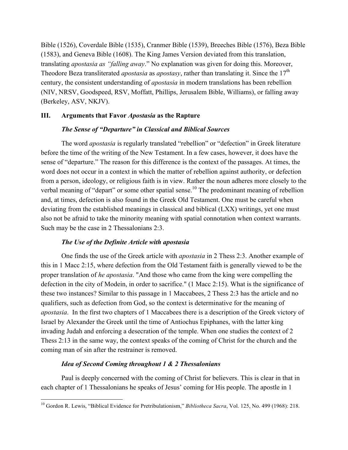Bible (1526), Coverdale Bible (1535), Cranmer Bible (1539), Breeches Bible (1576), Beza Bible (1583), and Geneva Bible (1608). The King James Version deviated from this translation, translating *apostasia as "falling away*." No explanation was given for doing this. Moreover, Theodore Beza transliterated *apostasia* as *apostasy*, rather than translating it. Since the 17th century, the consistent understanding of *apostasia* in modern translations has been rebellion (NIV, NRSV, Goodspeed, RSV, Moffatt, Phillips, Jerusalem Bible, Williams), or falling away (Berkeley, ASV, NKJV).

# **III. Arguments that Favor** *Apostasia* **as the Rapture**

### *The Sense of "Departure" in Classical and Biblical Sources*

The word *apostasia* is regularly translated "rebellion" or "defection" in Greek literature before the time of the writing of the New Testament. In a few cases, however, it does have the sense of "departure." The reason for this difference is the context of the passages. At times, the word does not occur in a context in which the matter of rebellion against authority, or defection from a person, ideology, or religious faith is in view. Rather the noun adheres more closely to the verbal meaning of "depart" or some other spatial sense.<sup>10</sup> The predominant meaning of rebellion and, at times, defection is also found in the Greek Old Testament. One must be careful when deviating from the established meanings in classical and biblical (LXX) writings, yet one must also not be afraid to take the minority meaning with spatial connotation when context warrants. Such may be the case in 2 Thessalonians 2:3.

# *The Use of the Definite Article with apostasia*

One finds the use of the Greek article with *apostasia* in 2 Thess 2:3. Another example of this in 1 Macc 2:15, where defection from the Old Testament faith is generally viewed to be the proper translation of *he apostasia*. "And those who came from the king were compelling the defection in the city of Modein, in order to sacrifice." (1 Macc 2:15). What is the significance of these two instances? Similar to this passage in 1 Maccabees, 2 Thess 2:3 has the article and no qualifiers, such as defection from God, so the context is determinative for the meaning of *apostasia*. In the first two chapters of 1 Maccabees there is a description of the Greek victory of Israel by Alexander the Greek until the time of Antiochus Epiphanes, with the latter king invading Judah and enforcing a desecration of the temple. When one studies the context of 2 Thess 2:13 in the same way, the context speaks of the coming of Christ for the church and the coming man of sin after the restrainer is removed.

# *Idea of Second Coming throughout 1 & 2 Thessalonians*

!!!!!!!!!!!!!!!!!!!!!!!!!!!!!!!!!!!!!!!!!!!!!!!!!!!!!!!!!!!!

Paul is deeply concerned with the coming of Christ for believers. This is clear in that in each chapter of 1 Thessalonians he speaks of Jesus' coming for His people. The apostle in 1

<sup>&</sup>lt;sup>10</sup> Gordon R. Lewis, "Biblical Evidence for Pretribulationism," *Bibliotheca Sacra*, Vol. 125, No. 499 (1968): 218.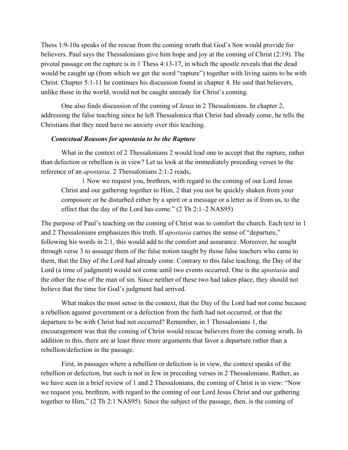Thess 1:9-10a speaks of the rescue from the coming wrath that God's Son would provide for believers. Paul says the Thessalonians give him hope and joy at the coming of Christ (2:19). The pivotal passage on the rapture is in 1 Thess 4:13-17, in which the apostle reveals that the dead would be caught up (from which we get the word "rapture") together with living saints to be with Christ. Chapter 5:1-11 he continues his discussion found in chapter 4. He said that believers, unlike those in the world, would not be caught unready for Christ's coming.

One also finds discussion of the coming of Jesus in 2 Thessalonians. In chapter 2, addressing the false teaching since he left Thessalonica that Christ had already come, he tells the Christians that they need have no anxiety over this teaching.

#### *Contextual Reasons for apostasia to be the Rapture*

What in the context of 2 Thessalonians 2 would lead one to accept that the rapture, rather than defection or rebellion is in view? Let us look at the immediately preceding verses to the reference of an *apostasia*. 2 Thessalonians 2:1-2 reads,

1 Now we request you, brethren, with regard to the coming of our Lord Jesus Christ and our gathering together to Him, 2 that you not be quickly shaken from your composure or be disturbed either by a spirit or a message or a letter as if from us, to the effect that the day of the Lord has come." (2 Th 2:1–2 NAS95)

The purpose of Paul's teaching on the coming of Christ was to comfort the church. Each text in 1 and 2 Thessalonians emphasizes this truth. If *apostasia* carries the sense of "departure," following his words in 2:1, this would add to the comfort and assurance. Moreover, he sought through verse 3 to assuage them of the false notion taught by those false teachers who came to them, that the Day of the Lord had already come. Contrary to this false teaching, the Day of the Lord (a time of judgment) would not come until two events occurred. One is the *apostasia* and the other the rise of the man of sin. Since neither of these two had taken place, they should not believe that the time for God's judgment had arrived.

What makes the most sense in the context, that the Day of the Lord had not come because a rebellion against government or a defection from the faith had not occurred, or that the departure to be with Christ had not occurred? Remember, in 1 Thessalonians 1, the encouragement was that the coming of Christ would rescue believers from the coming wrath. In addition to this, there are at least three more arguments that favor a departure rather than a rebellion/defection in the passage.

First, in passages where a rebellion or defection is in view, the context speaks of the rebellion or defection, but such is not in few in preceding verses in 2 Thessalonians. Rather, as we have seen in a brief review of 1 and 2 Thessalonians, the coming of Christ is in view: "Now we request you, brethren, with regard to the coming of our Lord Jesus Christ and our gathering together to Him," (2 Th 2:1 NAS95). Since the subject of the passage, then, is the coming of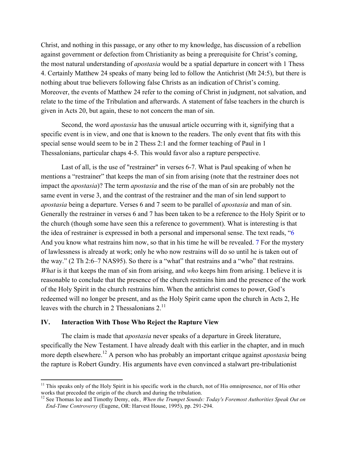Christ, and nothing in this passage, or any other to my knowledge, has discussion of a rebellion against government or defection from Christianity as being a prerequisite for Christ's coming, the most natural understanding of *apostasia* would be a spatial departure in concert with 1 Thess 4. Certainly Matthew 24 speaks of many being led to follow the Antichrist (Mt 24:5), but there is nothing about true believers following false Christs as an indication of Christ's coming. Moreover, the events of Matthew 24 refer to the coming of Christ in judgment, not salvation, and relate to the time of the Tribulation and afterwards. A statement of false teachers in the church is given in Acts 20, but again, these to not concern the man of sin.

Second, the word *apostasia* has the unusual article occurring with it, signifying that a specific event is in view, and one that is known to the readers. The only event that fits with this special sense would seem to be in 2 Thess 2:1 and the former teaching of Paul in 1 Thessalonians, particular chaps 4-5. This would favor also a rapture perspective.

Last of all, is the use of "restrainer" in verses 6-7. What is Paul speaking of when he mentions a "restrainer" that keeps the man of sin from arising (note that the restrainer does not impact the *apostasia*)? The term *apostasia* and the rise of the man of sin are probably not the same event in verse 3, and the contrast of the restrainer and the man of sin lend support to *apostasia* being a departure. Verses 6 and 7 seem to be parallel of *apostasia* and man of sin. Generally the restrainer in verses 6 and 7 has been taken to be a reference to the Holy Spirit or to the church (though some have seen this a reference to government). What is interesting is that the idea of restrainer is expressed in both a personal and impersonal sense. The text reads, "6 And you know what restrains him now, so that in his time he will be revealed. 7 For the mystery of lawlessness is already at work; only he who now restrains will do so until he is taken out of the way." (2 Th 2:6–7 NAS95). So there is a "what" that restrains and a "who" that restrains. *What* is it that keeps the man of sin from arising, and *who* keeps him from arising. I believe it is reasonable to conclude that the presence of the church restrains him and the presence of the work of the Holy Spirit in the church restrains him. When the antichrist comes to power, God's redeemed will no longer be present, and as the Holy Spirit came upon the church in Acts 2, He leaves with the church in 2 Thessalonians  $2<sup>11</sup>$ 

#### **IV. Interaction With Those Who Reject the Rapture View**

!!!!!!!!!!!!!!!!!!!!!!!!!!!!!!!!!!!!!!!!!!!!!!!!!!!!!!!!!!!!

The claim is made that *apostasia* never speaks of a departure in Greek literature, specifically the New Testament. I have already dealt with this earlier in the chapter, and in much more depth elsewhere.12 A person who has probably an important critque against *apostasia* being the rapture is Robert Gundry. His arguments have even convinced a stalwart pre-tribulationist

 $11$  This speaks only of the Holy Spirit in his specific work in the church, not of His omnipresence, nor of His other works that preceded the origin of the church and during the tribulation.

<sup>&</sup>lt;sup>12</sup> See Thomas Ice and Timothy Demy, eds., When the Trumpet Sounds: Today's Foremost Authorities Speak Out on *End-Time Controversy* (Eugene, OR: Harvest House, 1995), pp. 291-294.